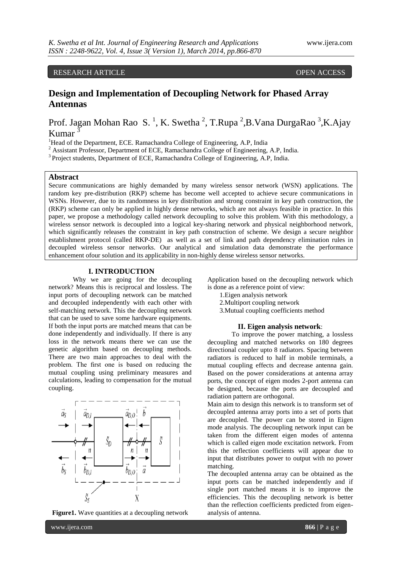# RESEARCH ARTICLE **ARTICLE** And the contract of the contract of the contract of the contract of the contract of the contract of the contract of the contract of the contract of the contract of the contract of the contract of

# **Design and Implementation of Decoupling Network for Phased Array Antennas**

Prof. Jagan Mohan Rao S.<sup>1</sup>, K. Swetha<sup>2</sup>, T.Rupa<sup>2</sup>, B.Vana DurgaRao<sup>3</sup>, K.Ajay  $K$ umar<sup>3</sup>

<sup>1</sup>Head of the Department, ECE. Ramachandra College of Engineering, A.P, India

<sup>2</sup> Assistant Professor, Department of ECE, Ramachandra College of Engineering, A.P, India.

<sup>3</sup> Project students, Department of ECE, Ramachandra College of Engineering, A.P, India.

### **Abstract**

Secure communications are highly demanded by many wireless sensor network (WSN) applications. The random key pre-distribution (RKP) scheme has become well accepted to achieve secure communications in WSNs. However, due to its randomness in key distribution and strong constraint in key path construction, the (RKP) scheme can only be applied in highly dense networks, which are not always feasible in practice. In this paper, we propose a methodology called network decoupling to solve this problem. With this methodology, a wireless sensor network is decoupled into a logical key-sharing network and physical neighborhood network, which significantly releases the constraint in key path construction of scheme. We design a secure neighbor establishment protocol (called RKP-DE) as well as a set of link and path dependency elimination rules in decoupled wireless sensor networks. Our analytical and simulation data demonstrate the performance enhancement ofour solution and its applicability in non-highly dense wireless sensor networks.

### **I. INTRODUCTION**

Why we are going for the decoupling network? Means this is reciprocal and lossless. The input ports of decoupling network can be matched and decoupled independently with each other with self-matching network. This the decoupling network that can be used to save some hardware equipments. If both the input ports are matched means that can be done independently and individually. If there is any loss in the network means there we can use the genetic algorithm based on decoupling methods. There are two main approaches to deal with the problem. The first one is based on reducing the mutual coupling using preliminary measures and calculations, leading to compensation for the mutual coupling.



**Figure1.** Wave quantities at a decoupling network

Application based on the decoupling network which is done as a reference point of view:

- 1.Eigen analysis network
- 2.Multiport coupling network
- 3.Mutual coupling coefficients method

### **II. Eigen analysis network**:

To improve the power matching, a lossless decoupling and matched networks on 180 degrees directional coupler upto 8 radiators. Spacing between radiators is reduced to half in mobile terminals, a mutual coupling effects and decrease antenna gain. Based on the power considerations at antenna array ports, the concept of eigen modes 2-port antenna can be designed, because the ports are decoupled and radiation pattern are orthogonal.

Main aim to design this network is to transform set of decoupled antenna array ports into a set of ports that are decoupled. The power can be stored in Eigen mode analysis. The decoupling network input can be taken from the different eigen modes of antenna which is called eigen mode excitation network. From this the reflection coefficients will appear due to input that distributes power to output with no power matching.

The decoupled antenna array can be obtained as the input ports can be matched independently and if single port matched means it is to improve the efficiencies. This the decoupling network is better than the reflection coefficients predicted from eigenanalysis of antenna.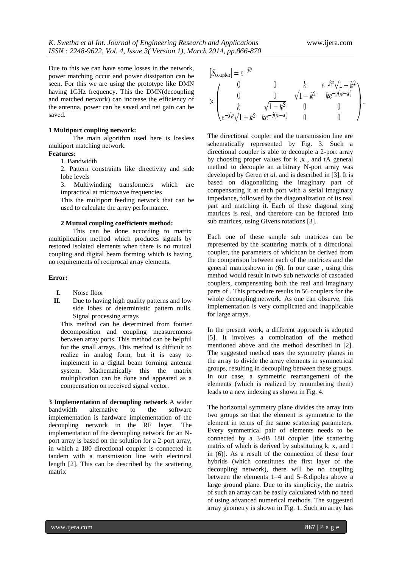Due to this we can have some losses in the network, power matching occur and power dissipation can be seen. For this we are using the prototype like DMN having 1GHz frequency. This the DMN(decoupling and matched network) can increase the efficiency of the antenna, power can be saved and net gain can be saved.

# **1 Multiport coupling network:**

The main algorithm used here is lossless multiport matching network.

# **Features:**

1. Bandwidth

2. Pattern constraints like directivity and side lobe levels

3. Multiwinding transformers which are impractical at microwave frequencies

This the multiport feeding network that can be used to calculate the array performance.

#### **2 Mutual coupling coefficients method:**

This can be done according to matrix multiplication method which produces signals by restored isolated elements when there is no mutual coupling and digital beam forming which is having no requirements of reciprocal array elements.

#### **Error:**

- **I.** Noise floor
- **II.** Due to having high quality patterns and low side lobes or deterministic pattern nulls. Signal processing arrays

This method can be determined from fourier decomposition and coupling measurements between array ports. This method can be helpful for the small arrays. This method is difficult to realize in analog form, but it is easy to implement in a digital beam forming antenna system. Mathematically this the matrix multiplication can be done and appeared as a compensation on received signal vector.

**3 Implementation of decoupling network** A wider bandwidth alternative to the software implementation is hardware implementation of the decoupling network in the RF layer. The implementation of the decoupling network for an Nport array is based on the solution for a 2-port array, in which a 180 directional coupler is connected in tandem with a transmission line with electrical length [2]. This can be described by the scattering matrix

$$
\begin{aligned} \n[S_{\text{coupler}}] &= e^{-j\theta} \\ \times \begin{pmatrix} 0 & 0 & k & e^{-j\varphi} \sqrt{1 - k^2} \\ 0 & 0 & \sqrt{1 - k^2} & k e^{-j(\varphi + \pi)} \\ k & \sqrt{1 - k^2} & 0 & 0 \\ e^{-j\varphi} \sqrt{1 - k^2} & k e^{-j(\varphi + \pi)} & 0 & 0 \n\end{pmatrix} .\n\end{aligned}
$$

The directional coupler and the transmission line are schematically represented by Fig. 3. Such a directional coupler is able to decouple a 2-port array by choosing proper values for  $k$ ,  $x$ , and  $tA$  general method to decouple an arbitrary N-port array was developed by Geren *et al.* and is described in [3]. It is based on diagonalizing the imaginary part of compensating it at each port with a serial imaginary impedance, followed by the diagonalization of its real part and matching it. Each of these diagonal zing matrices is real, and therefore can be factored into sub matrices, using Givens rotations [3].

Each one of these simple sub matrices can be represented by the scattering matrix of a directional coupler, the parameters of whichcan be derived from the comparison between each of the matrices and the general matrixshown in (6). In our case , using this method would result in two sub networks of cascaded couplers, compensating both the real and imaginary parts of . This procedure results in 56 couplers for the whole decoupling.network. As one can observe, this implementation is very complicated and inapplicable for large arrays.

In the present work, a different approach is adopted [5]. It involves a combination of the method mentioned above and the method described in [2]. The suggested method uses the symmetry planes in the array to divide the array elements in symmetrical groups, resulting in decoupling between these groups. In our case, a symmetric rearrangement of the elements (which is realized by renumbering them) leads to a new indexing as shown in Fig. 4.

The horizontal symmetry plane divides the array into two groups so that the element is symmetric to the element in terms of the same scattering parameters. Every symmetrical pair of elements needs to be connected by a 3-dB 180 coupler [the scattering matrix of which is derived by substituting k, x, and t in (6)]. As a result of the connection of these four hybrids (which constitutes the first layer of the decoupling network), there will be no coupling between the elements 1–4 and 5–8.dipoles above a large ground plane. Due to its simplicity, the matrix of such an array can be easily calculated with no need of using advanced numerical methods. The suggested array geometry is shown in Fig. 1. Such an array has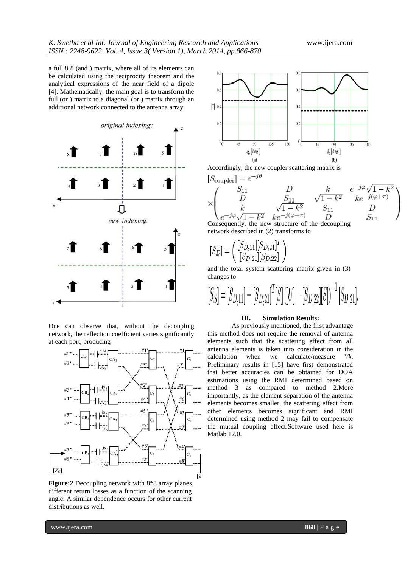a full 8 8 (and ) matrix, where all of its elements can be calculated using the reciprocity theorem and the analytical expressions of the near field of a dipole [4]. Mathematically, the main goal is to transform the full (or ) matrix to a diagonal (or ) matrix through an additional network connected to the antenna array.



One can observe that, without the decoupling network, the reflection coefficient varies significantly at each port, producing



**Figure:2** Decoupling network with 8\*8 array planes different return losses as a function of the scanning angle. A similar dependence occurs for other current distributions as well.



Accordingly, the new coupler scattering matrix is  $\sim$  $\overline{a}$ 50

$$
S_{\text{coupler}} = e^{-j\theta}
$$
  
\n
$$
\times \begin{pmatrix} S_{11} & D & k & e^{-j\varphi}\sqrt{1-k^2} \\ D & S_{11} & \sqrt{1-k^2} & ke^{-j(\varphi+\pi)} \\ k & \sqrt{1-k^2} & S_{11} & D \\ e^{-j\varphi}\sqrt{1-k^2} & ke^{-j(\varphi+\pi)} & D & S_{11} \end{pmatrix}
$$

Consequently, the new structure of the decoupling network described in (2) transforms to

$$
[S_D] = \left( \frac{[S_{D,11}][S_{D,21}]}{[S_{D,21}][S_{D,22}]} \right)
$$

and the total system scattering matrix given in (3) changes to

$$
[S_S] = [S_{D,11}] + [S_{D,21}]^T [S] ([U] - [S_{D,22}][S])^{-1} [S_{D,21}].
$$

#### **III. Simulation Results:**

As previously mentioned, the first advantage this method does not require the removal of antenna elements such that the scattering effect from all antenna elements is taken into consideration in the calculation when we calculate/measure *Vk*. Preliminary results in [15] have first demonstrated that better accuracies can be obtained for DOA estimations using the RMI determined based on method 3 as compared to method 2.More importantly, as the element separation of the antenna elements becomes smaller, the scattering effect from other elements becomes significant and RMI determined using method 2 may fail to compensate the mutual coupling effect.Software used here is Matlab 12.0.

www.ijera.com **868** | P a g e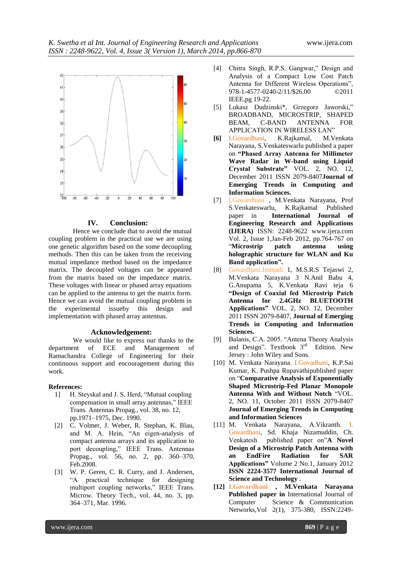

### **IV. Conclusion:**

Hence we conclude that to avoid the mutual coupling problem in the practical use we are using one genetic algorithm based on the some decoupling methods. Then this can be taken from the receiving mutual impedance method based on the impedance matrix. The decoupled voltages can be appeared from the matrix based on the impedance matrix. These voltages with linear or phased array equations can be applied to the antenna to get the matrix form. Hence we can avoid the mutual coupling problem in the experimental issueby this design and implementation with phased array antennas.

#### **Acknowledgement:**

We would like to express our thanks to the department of ECE and Management of Ramachandra College of Engineering for their continuous support and encouragement during this work.

#### **References:**

- 1] H. Steyskal and J. S. Herd, "Mutual coupling compensation in small array antennas," IEEE Trans. Antennas Propag., vol. 38, no. 12, pp.1971–1975, Dec. 1990.
- [2] C. Volmer, J. Weber, R. Stephan, K. Blau, and M. A. Hein, "An eigen-analysis of compact antenna arrays and its application to port decoupling," IEEE Trans. Antennas Propag., vol. 56, no. 2, pp. 360–370, Feb.2008.
- [3] W. P. Geren, C. R. Curry, and J. Andersen, "A practical technique for designing multiport coupling networks," IEEE Trans. Microw. Theory Tech., vol. 44, no. 3, pp. 364–371, Mar. 1996.
- [4] Chitra Singh, R.P.S. Gangwar," Design and Analysis of a Compact Low Cost Patch Antenna for Different Wireless Operations", 978-1-4577-0240-2/11/\$26.00 ©2011 IEEE,pg 19-22.
- [5] Lukasz Dudzinski\*, Grzegorz Jaworski," BROADBAND, MICROSTRIP, SHAPED BEAM, C-BAND ANTENNA FOR APPLICATION IN WIRELESS LAN"
- **[6]** I.Govardhani, K.Rajkamal, M.Venkata Narayana, S.Venkateswarlu published a paper on **"Phased Array Antenna for Millimeter Wave Radar in W-band using Liquid Crystal Substrate"** VOL. 2, NO. 12, December 2011 ISSN 2079-8407**Journal of Emerging Trends in Computing and Information Sciences.**
- [7] I.Govardhani , M.Venkata Narayana, Prof S.Venkateswarlu, K.Rajkamal Published paper in **International Journal of Engineering Research and Applications (IJERA)** ISSN: 2248-9622 www.ijera.com Vol. 2, Issue 1,Jan-Feb 2012, pp.764-767 on "**Microstrip patch antenna using holographic structure for WLAN and Ku Band application".**
- [8] Govardhani.Immadi 1, M.S.R.S Tejaswi 2, M.Venkata Narayana 3 N.Anil Babu 4, G.Anupama 5, K.Venkata Ravi teja 6 **"Design of Coaxial fed Microstrip Patch Antenna for 2.4GHz BLUETOOTH Applications"** VOL. 2, NO. 12, December 2011 ISSN 2079-8407, **Journal of Emerging Trends in Computing and Information Sciences.**
- [9] Balanis, C.A. 2005. "Antena Theory Analysis and Design". Textbook 3<sup>rd</sup> Edition. New Jersey : John Wiley and Sons.
- [10] M. Venkata Narayana, I.Govadhani, K.P.Sai Kumar, K. Pushpa Rupavathipublished paper on "**Comparative Analysis of Exponentially Shaped Microstrip-Fed Planar Monopole Antenna With and Without Notch** "VOL. 2, NO. 11, October 2011 ISSN 2079-8407 **Journal of Emerging Trends in Computing and Information Sciences**
- [11] M. Venkata Narayana, A.Vikranth, I. Govardhani, Sd. Khaja Nizamuddin, Ch. Venkatesh published paper on"**A Novel Design of a Microstrip Patch Antenna with an EndFire Radiation for SAR Applications"** Volume 2 No.1, January 2012 **ISSN 2224-3577 International Journal of Science and Technology** .
- **[12] I.Govardhani , M.Venkata Narayana Published paper in** International Journal of Computer Science & Communication Networks,Vol 2(1), 375-380, ISSN:2249-